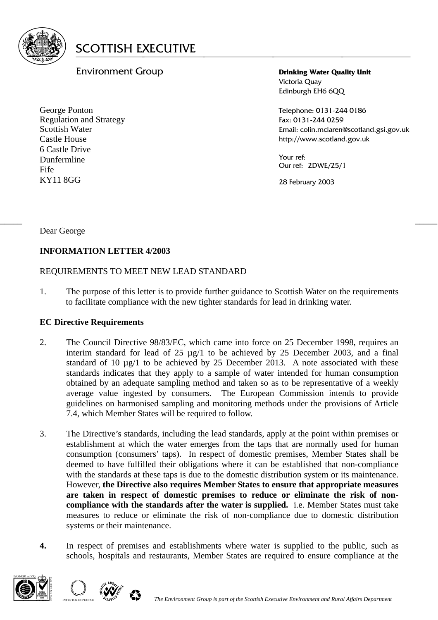

# Environment Group

George Ponton Regulation and Strategy Scottish Water Castle House 6 Castle Drive Dunfermline Fife KY11 8GG

**Drinking Water Quality Unit**  Victoria Quay Edinburgh EH6 6QQ

Telephone: 0131-244 0186 Fax: 0131-244 0259 Email: colin.mclaren@scotland.gsi.gov.uk http://www.scotland.gov.uk

Your ref: Our ref: 2DWE/25/1

28 February 2003

Dear George

## **INFORMATION LETTER 4/2003**

## REQUIREMENTS TO MEET NEW LEAD STANDARD

1. The purpose of this letter is to provide further guidance to Scottish Water on the requirements to facilitate compliance with the new tighter standards for lead in drinking water.

 $\frac{1}{2}$  , the contribution of the contribution of the contribution of the contribution of the contribution of the contribution of the contribution of the contribution of the contribution of the contribution of the contr

#### **EC Directive Requirements**

- 2. The Council Directive 98/83/EC, which came into force on 25 December 1998, requires an interim standard for lead of 25 µg/1 to be achieved by 25 December 2003, and a final standard of 10 µg/1 to be achieved by 25 December 2013. A note associated with these standards indicates that they apply to a sample of water intended for human consumption obtained by an adequate sampling method and taken so as to be representative of a weekly average value ingested by consumers. The European Commission intends to provide guidelines on harmonised sampling and monitoring methods under the provisions of Article 7.4, which Member States will be required to follow.
- 3. The Directive's standards, including the lead standards, apply at the point within premises or establishment at which the water emerges from the taps that are normally used for human consumption (consumers' taps). In respect of domestic premises, Member States shall be deemed to have fulfilled their obligations where it can be established that non-compliance with the standards at these taps is due to the domestic distribution system or its maintenance. However, **the Directive also requires Member States to ensure that appropriate measures are taken in respect of domestic premises to reduce or eliminate the risk of noncompliance with the standards after the water is supplied.** i.e. Member States must take measures to reduce or eliminate the risk of non-compliance due to domestic distribution systems or their maintenance.
- **4.** In respect of premises and establishments where water is supplied to the public, such as schools, hospitals and restaurants, Member States are required to ensure compliance at the



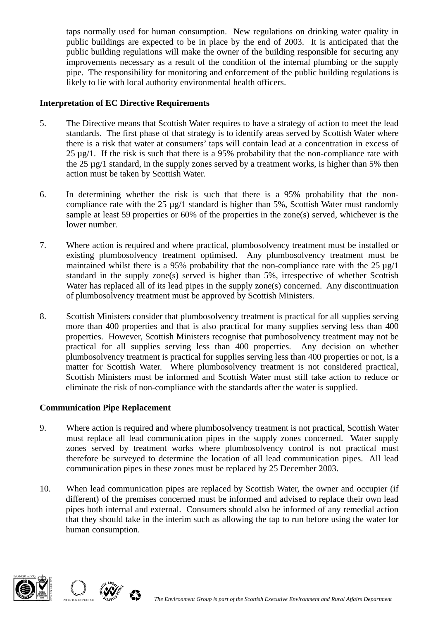taps normally used for human consumption. New regulations on drinking water quality in public buildings are expected to be in place by the end of 2003. It is anticipated that the public building regulations will make the owner of the building responsible for securing any improvements necessary as a result of the condition of the internal plumbing or the supply pipe. The responsibility for monitoring and enforcement of the public building regulations is likely to lie with local authority environmental health officers.

### **Interpretation of EC Directive Requirements**

- 5. The Directive means that Scottish Water requires to have a strategy of action to meet the lead standards. The first phase of that strategy is to identify areas served by Scottish Water where there is a risk that water at consumers' taps will contain lead at a concentration in excess of  $25 \mu g/1$ . If the risk is such that there is a 95% probability that the non-compliance rate with the 25 µg/1 standard, in the supply zones served by a treatment works, is higher than 5% then action must be taken by Scottish Water.
- 6. In determining whether the risk is such that there is a 95% probability that the noncompliance rate with the  $25 \mu g/1$  standard is higher than 5%, Scottish Water must randomly sample at least 59 properties or 60% of the properties in the zone(s) served, whichever is the lower number.
- 7. Where action is required and where practical, plumbosolvency treatment must be installed or existing plumbosolvency treatment optimised. Any plumbosolvency treatment must be maintained whilst there is a 95% probability that the non-compliance rate with the  $25 \mu g/1$ standard in the supply zone(s) served is higher than 5%, irrespective of whether Scottish Water has replaced all of its lead pipes in the supply zone(s) concerned. Any discontinuation of plumbosolvency treatment must be approved by Scottish Ministers.
- 8. Scottish Ministers consider that plumbosolvency treatment is practical for all supplies serving more than 400 properties and that is also practical for many supplies serving less than 400 properties. However, Scottish Ministers recognise that pumbosolvency treatment may not be practical for all supplies serving less than 400 properties. Any decision on whether plumbosolvency treatment is practical for supplies serving less than 400 properties or not, is a matter for Scottish Water. Where plumbosolvency treatment is not considered practical, Scottish Ministers must be informed and Scottish Water must still take action to reduce or eliminate the risk of non-compliance with the standards after the water is supplied.

#### **Communication Pipe Replacement**

- 9. Where action is required and where plumbosolvency treatment is not practical, Scottish Water must replace all lead communication pipes in the supply zones concerned. Water supply zones served by treatment works where plumbosolvency control is not practical must therefore be surveyed to determine the location of all lead communication pipes. All lead communication pipes in these zones must be replaced by 25 December 2003.
- 10. When lead communication pipes are replaced by Scottish Water, the owner and occupier (if different) of the premises concerned must be informed and advised to replace their own lead pipes both internal and external. Consumers should also be informed of any remedial action that they should take in the interim such as allowing the tap to run before using the water for human consumption.



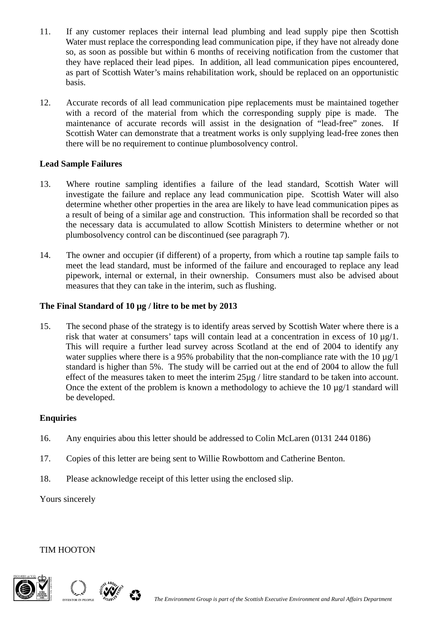- 11. If any customer replaces their internal lead plumbing and lead supply pipe then Scottish Water must replace the corresponding lead communication pipe, if they have not already done so, as soon as possible but within 6 months of receiving notification from the customer that they have replaced their lead pipes. In addition, all lead communication pipes encountered, as part of Scottish Water's mains rehabilitation work, should be replaced on an opportunistic basis.
- 12. Accurate records of all lead communication pipe replacements must be maintained together with a record of the material from which the corresponding supply pipe is made. The maintenance of accurate records will assist in the designation of "lead-free" zones. If Scottish Water can demonstrate that a treatment works is only supplying lead-free zones then there will be no requirement to continue plumbosolvency control.

## **Lead Sample Failures**

- 13. Where routine sampling identifies a failure of the lead standard, Scottish Water will investigate the failure and replace any lead communication pipe. Scottish Water will also determine whether other properties in the area are likely to have lead communication pipes as a result of being of a similar age and construction. This information shall be recorded so that the necessary data is accumulated to allow Scottish Ministers to determine whether or not plumbosolvency control can be discontinued (see paragraph 7).
- 14. The owner and occupier (if different) of a property, from which a routine tap sample fails to meet the lead standard, must be informed of the failure and encouraged to replace any lead pipework, internal or external, in their ownership. Consumers must also be advised about measures that they can take in the interim, such as flushing.

## **The Final Standard of 10 µg / litre to be met by 2013**

15. The second phase of the strategy is to identify areas served by Scottish Water where there is a risk that water at consumers' taps will contain lead at a concentration in excess of  $10 \text{ µg}/1$ . This will require a further lead survey across Scotland at the end of 2004 to identify any water supplies where there is a 95% probability that the non-compliance rate with the 10  $\mu$ g/1 standard is higher than 5%. The study will be carried out at the end of 2004 to allow the full effect of the measures taken to meet the interim 25µg / litre standard to be taken into account. Once the extent of the problem is known a methodology to achieve the 10 µg/1 standard will be developed.

#### **Enquiries**

- 16. Any enquiries abou this letter should be addressed to Colin McLaren (0131 244 0186)
- 17. Copies of this letter are being sent to Willie Rowbottom and Catherine Benton.
- 18. Please acknowledge receipt of this letter using the enclosed slip.

#### Yours sincerely

#### TIM HOOTON